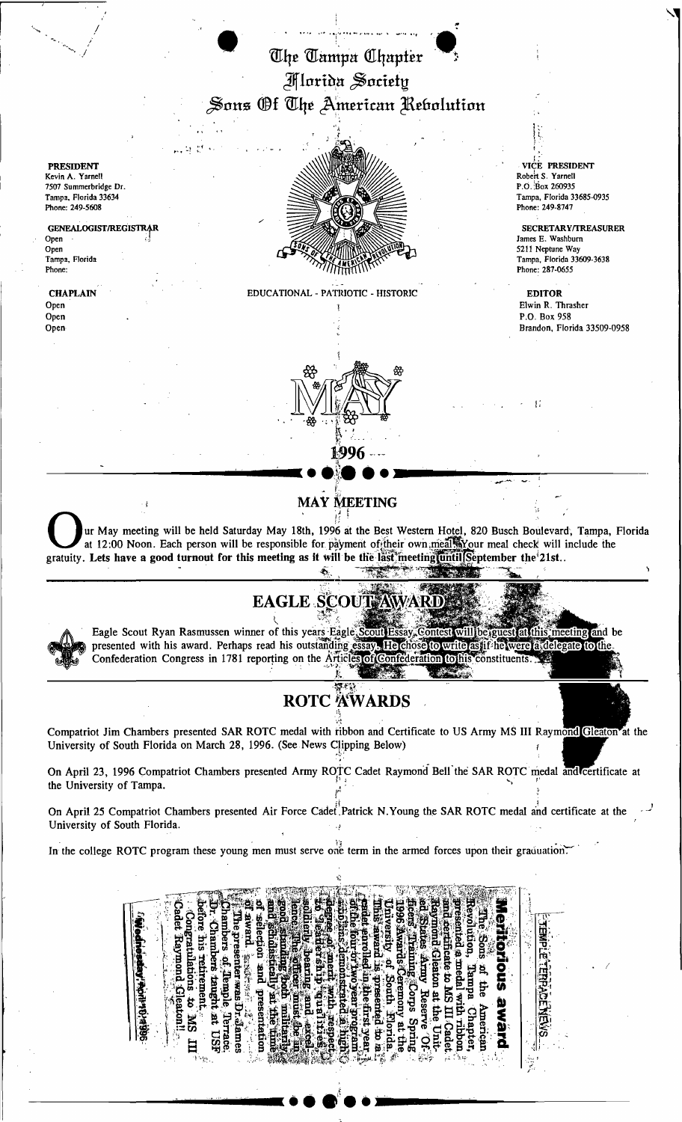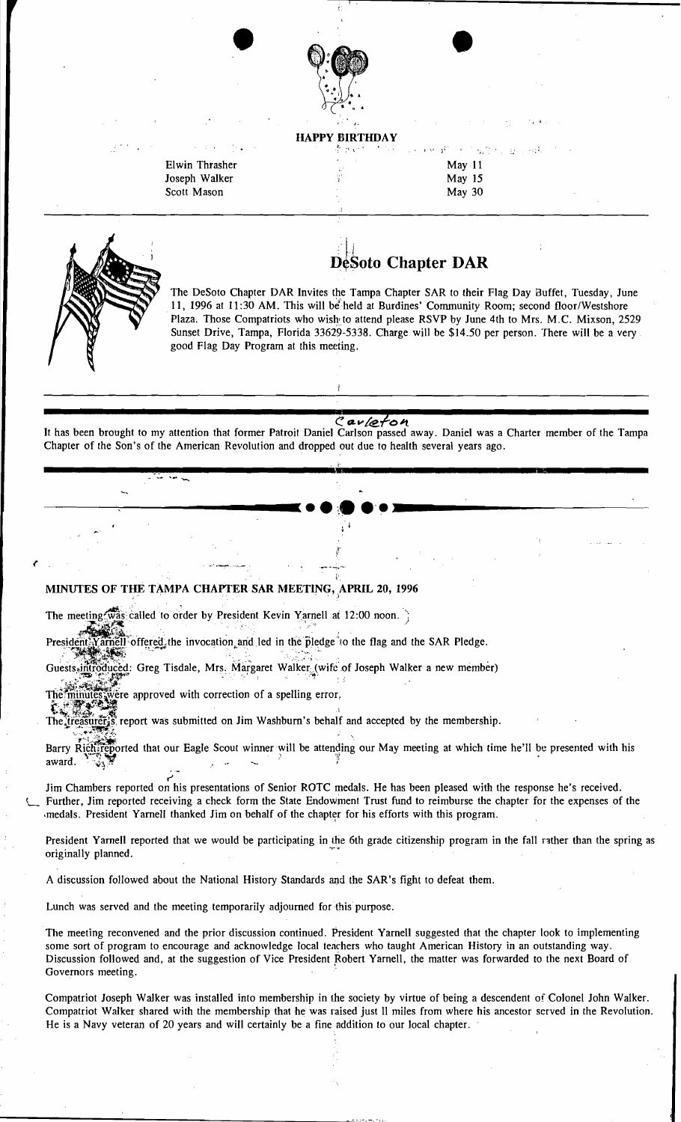

•

Elwin Thrasher Joseph Walker Scott Mason

HAPPY BIRTHDAY

|    |  | (후 #301) - 이유스 - 1999 # 800 - 이일정수는 높은 844 |  |
|----|--|--------------------------------------------|--|
| W  |  | May $11$                                   |  |
| ś, |  | May $15$                                   |  |
|    |  | May $30$                                   |  |

L

(

## DéSoto Chapter DAR

The DeSoto Chapter DAR Invites the Tampa Chapter SAR to their Flag Day Buffet, Tuesday, June 11, 1996 at 11:30 AM. This will be held at Burdines' Community Room; second floor/Westshore Plaza. Those Compatriots who wish to attend please RSVP by June 4th to Mrs. M.C. Mixson, 2529 Sunset Drive, Tampa, Florida 33629-5338. Charge will be \$14.50 per person. There will be a very good Flag Day Program at this meeting.

Cav/efon<br>It has been brought to my attention that former Patroit Daniel Carlson passed away. Daniel was a Charter member of the Tampa Chapter of the Son's of the American Revolution and dropped out due to health several years ago.

"s

--~--'-;--------"j( ••"••'. )I: \_

l •

## $\ddot{\text{r}}$ MINUTES OF THE TAMPA CHAPTER SAR MEETING, APRIL 20, 1996

The meeting  $\sqrt{w}$  is called to order by President Kevin Yarnell at 12:00 noon.) eeting was called to order by President Kevin Yarnell at 12:00 noon.

mell offered, the invocation and led in the pledge to the flag and the SAR Pledge.

;;-..,":?> ,'':~l~''''"> "'",;~-.:'~, .;.'/,~.~::,..~) •... :: . • Guests<sub>s</sub>introduced: Greg Tisdale, Mrs.: Margaret Walker: (wife of Joseph Walker a new member)

·:/· .. ···.":'I!:r'>~ , . .. The minutes were approved with correction of a spelling error,

"..... ... ~.~~:" i'~", ....

The treasurers is report was submitted on Jim Washburn's behalf and accepted by the membership.

Barry Rich  $\frac{1}{2}$  is executed that our Eagle Scout winner will be attending our May meeting at which time he'll be presented with his award.  $\frac{1}{2}$  ...

r' Jim Chambers reported on his presentations of Senior ROTC medals. He has been pleased with the response he's received. Further, Jim reported receiving a check form the State Endowment Trust fund to reimburse the chapter for the expenses of the medals. President Yarnell thanked Jim on behalf of the chapter for his efforts with this program.

President Yarnell reported that we would be participating in the 6th grade citizenship program in the fall rather than the spring as originally planned.

A discussion followed about the National History Standards and the SAR's fight to defeat them.

Lunch was served and the meeting temporarily adjourned for this purpose.

--------------------------------.,.,-.-'.

The meeting reconvened and the prior discussion continued. President Yarnell suggested that the chapter look to implementing some sort of program to encourage and acknowledge local teachers who taught American History in an outstanding way. Discussion followed and, at the suggestion of Vice President Robert Yarnell, the matter was forwarded to the next Board of Governors meeting.

Compatriot Joseph Walker was installed into membership in the society by virtue of being a descendent of Colonel John Walker. Compatriot Walker shared with the membership that he was raised just 11 miles from where his ancestor served in the Revolution. He is a Navy veteran of 20 years and will certainly be a fine addition to our local chapter.